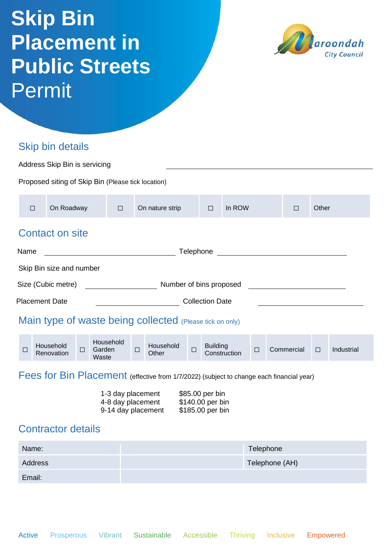## **Skip Bin Placement in Public Streets Permit**



## Skip bin details

Email:

Application

| Address Skip Bin is servicing                                                                                           |                                                    |                         |        |                              |                |                    |        |                 |              |           |  |            |        |            |  |
|-------------------------------------------------------------------------------------------------------------------------|----------------------------------------------------|-------------------------|--------|------------------------------|----------------|--------------------|--------|-----------------|--------------|-----------|--|------------|--------|------------|--|
|                                                                                                                         | Proposed siting of Skip Bin (Please tick location) |                         |        |                              |                |                    |        |                 |              |           |  |            |        |            |  |
| $\Box$                                                                                                                  |                                                    | On Roadway              |        | $\Box$                       |                | On nature strip    |        | $\Box$          | In ROW       |           |  | $\Box$     | Other  |            |  |
|                                                                                                                         | <b>Contact on site</b>                             |                         |        |                              |                |                    |        |                 |              |           |  |            |        |            |  |
| Telephone<br>Name                                                                                                       |                                                    |                         |        |                              |                |                    |        |                 |              |           |  |            |        |            |  |
|                                                                                                                         | Skip Bin size and number                           |                         |        |                              |                |                    |        |                 |              |           |  |            |        |            |  |
|                                                                                                                         | Size (Cubic metre)<br>Number of bins proposed      |                         |        |                              |                |                    |        |                 |              |           |  |            |        |            |  |
| <b>Placement Date</b><br><b>Collection Date</b>                                                                         |                                                    |                         |        |                              |                |                    |        |                 |              |           |  |            |        |            |  |
| Main type of waste being collected (Please tick on only)                                                                |                                                    |                         |        |                              |                |                    |        |                 |              |           |  |            |        |            |  |
| $\Box$                                                                                                                  |                                                    | Household<br>Renovation | $\Box$ | Household<br>Garden<br>Waste | $\Box$         | Household<br>Other | $\Box$ | <b>Building</b> | Construction | $\Box$    |  | Commercial | $\Box$ | Industrial |  |
| Fees for Bin Placement (effective from 1/7/2022) (subject to change each financial year)                                |                                                    |                         |        |                              |                |                    |        |                 |              |           |  |            |        |            |  |
| 1-3 day placement<br>\$85.00 per bin<br>4-8 day placement<br>\$140.00 per bin<br>9-14 day placement<br>\$185.00 per bin |                                                    |                         |        |                              |                |                    |        |                 |              |           |  |            |        |            |  |
| <b>Contractor details</b>                                                                                               |                                                    |                         |        |                              |                |                    |        |                 |              |           |  |            |        |            |  |
| Name:                                                                                                                   |                                                    |                         |        |                              |                |                    |        |                 |              | Telephone |  |            |        |            |  |
| <b>Address</b>                                                                                                          |                                                    |                         |        |                              | Telephone (AH) |                    |        |                 |              |           |  |            |        |            |  |